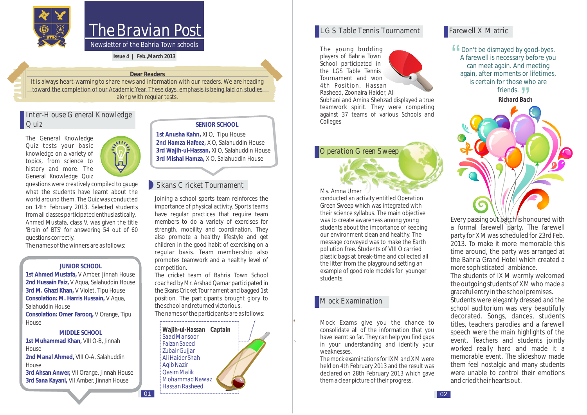

# The Bravian Post

*Newsletter of the Bahria Town schools*

**Issue 4 | Feb.,March 2013** 

#### **Dear Readers**

It is always heart-warming to share news and information with our readers. We are heading toward the completion of our Academic Year. These days, emphasis is being laid on studies along with regular tests.

 $|01$ 

### Inter-House General Knowledge Quiz

The General Knowledge Quiz tests your basic knowledge on a variety of topics, from science to history and more. The General Knowledge Quiz

questions were creatively compiled to gauge what the students have learnt about the world around them. The Quiz was conducted on 14th February 2013. Selected students from all classes participated enthusiastically. Ahmed Mustafa, class V, was given the title 'Brain of BTS' for answering 54 out of 60 questions correctly.

The names of the winners are as follows:

#### **JUNIOR SCHOOL**

**1st Ahmed Mustafa,**  V Amber, Jinnah House **2nd Hussain Faiz,**  V Aqua, Salahuddin House **3rd M. Ghazi Khan,**  V Violet, Tipu House **Consolation: M. Harris Hussain,**  V Aqua, **Consolation: Omer Farooq,**  V Orange, Tipu Salahuddin House House

#### **MIDDLE SCHOOL**

**1st Muhammad Khan,**  VIII O-B, Jinnah **2nd Manal Ahmed,**  VIII O-A, Salahuddin House House

**3rd Ahsan Anwer,**  VII Orange, Jinnah House **3rd Sana Kayani,**  VII Amber, Jinnah House

#### **SENIOR SCHOOL**

**1st Anusha Kahn,**  XI O, Tipu House **2nd Hamza Hafeez,**  X O, Salahuddin House **3rd Wajih-ul-Hassan,** XI O, Salahuddin House **3rd Mishal Hamza,**  X O, Salahuddin House

# Skans Cricket Tournament

Joining a school sports team reinforces the importance of physical activity. Sports teams have regular practices that require team members to do a variety of exercises for strength, mobility and coordination. They also promote a healthy lifestyle and get children in the good habit of exercising on a regular basis. Team membership also promotes teamwork and a healthy level of competition.

The cricket team of Bahria Town School coached by *Mr. Arshad Qamar* participated in the Skans Cricket Tournament and bagged 1st position. The participants brought glory to the school and returned victorious. The names of the participants are as follows:

*Wajih-ul-Hassan Captain Saad Mansoor Faizan Saeed Zubair Gujjar Ali Haider Shah Aqib Nazir Qasim Malik Mohammad Nawaz Hassan Rasheed*

#### **LGS Table Tennis Tournament** Farewell X Matric

The young budding players of Bahria Town School participated in the *LGS Table Tennis Tournament* and won 4th Position. Hassan Rasheed, Zoonaira Haider, Ali



### **Operation Green Sweep**



conducted an activity entitled *Operation Green Sweep* which was integrated with their science syllabus. The main objective was to create awareness among young students about the importance of keeping our environment clean and healthy. The message conveyed was to make the Earth pollution free. Students of VIII O carried plastic bags at break-time and collected all the litter from the playground setting an example of good role models for younger students.

#### **Mock Examination**

Mock Exams give you the chance to consolidate all of the information that you have learnt so far. They can help you find gaps in your understanding and identify your weaknesses.

The mock examinations for IX M and X M were held on 4th February 2013 and the result was declared on 28th February 2013 which gave them a clear picture of their progress.

**f** Don't be dismayed by good-byes.<br>A farewell is necessary before you<br>can meet again. And meeting A farewell is necessary before you can meet again. And meeting again, after moments or lifetimes, is certain for those who are friends. **JJ** *Richard Bach*



Every passing out batch is honoured with a formal farewell party. The farewell party for X M was scheduled for 23rd Feb. 2013. To make it more memorable this time around, the party was arranged at the Bahria Grand Hotel which created a more sophisticated ambiance. The students of IX M warmly welcomed the outgoing students of X M who made a graceful entry in the school premises. Students were elegantly dressed and the school auditorium was very beautifully

decorated. Songs, dances, students titles, teachers parodies and a farewell speech were the main highlights of the event. Teachers and students jointly worked really hard and made it a memorable event. The slideshow made them feel nostalgic and many students were unable to control their emotions and cried their hearts out.